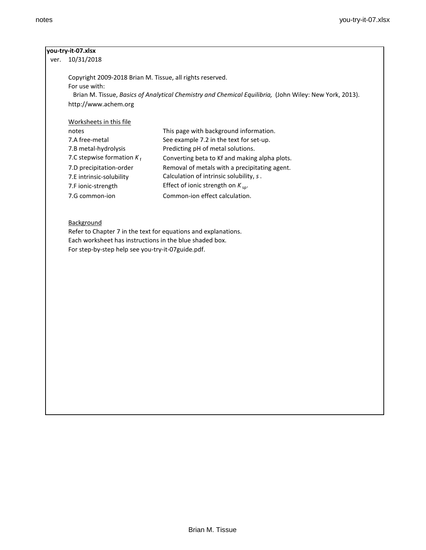#### **you-try-it-07.xlsx**

ver. 10/31/2018

Copyright 2009-2018 Brian M. Tissue, all rights reserved. For use with: Brian M. Tissue, *Basics of Analytical Chemistry and Chemical Equilibria,* (John Wiley: New York, 2013). http://www.achem.org

### Worksheets in this file

| notes                        | This page with background information.        |
|------------------------------|-----------------------------------------------|
| 7.A free-metal               | See example 7.2 in the text for set-up.       |
| 7.B metal-hydrolysis         | Predicting pH of metal solutions.             |
| 7.C stepwise formation $K_f$ | Converting beta to Kf and making alpha plots. |
| 7.D precipitation-order      | Removal of metals with a precipitating agent. |
| 7.E intrinsic-solubility     | Calculation of intrinsic solubility, s.       |
| 7.F ionic-strength           | Effect of ionic strength on $K_{sp}$ .        |
| 7.G common-ion               | Common-ion effect calculation.                |

## **Background**

Refer to Chapter 7 in the text for equations and explanations. Each worksheet has instructions in the blue shaded box. For step-by-step help see you-try-it-07guide.pdf.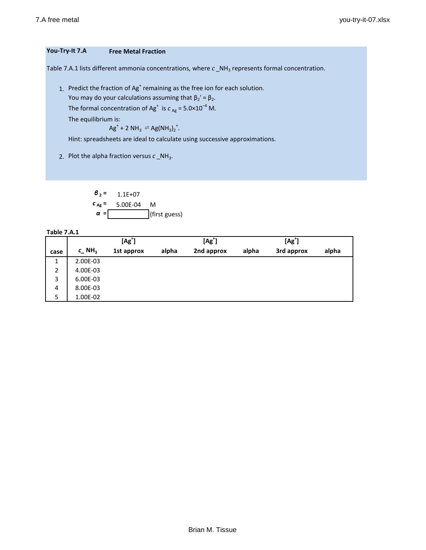## **You-Try-It 7.A Free Metal Fraction**

Table 7.A.1 lists different ammonia concentrations, where  $c$  \_NH<sub>3</sub> represents formal concentration.

1. Predict the fraction of Ag<sup>+</sup> remaining as the free ion for each solution.

You may do your calculations assuming that  $\beta_2' = \beta_2$ .

The formal concentration of Ag<sup>+</sup> is  $c_{Ag}$  = 5.0×10<sup>-4</sup> M.

The equilibrium is:

$$
Ag^+ + 2 NH_3 \rightleftharpoons Ag(NH_3)_2^+.
$$

Hint: spreadsheets are ideal to calculate using successive approximations.

2. Plot the alpha fraction versus  $c$ <sub>\_NH<sub>3</sub>.</sub>

 $\theta_2 = 1.1E+07$ *c* **Ag =** 5.00E-04 M *α* **=** (first guess)

**Table 7.A.1**

|      |                               | $[Ag^{\dagger}]$ |       | $[Ag^{\dagger}]$ |       | $[Ag+]$    |       |
|------|-------------------------------|------------------|-------|------------------|-------|------------|-------|
| case | $c$ <sub>NH<sub>3</sub></sub> | 1st approx       | alpha | 2nd approx       | alpha | 3rd approx | alpha |
| 1    | 2.00E-03                      |                  |       |                  |       |            |       |
| 2    | 4.00E-03                      |                  |       |                  |       |            |       |
| 3    | 6.00E-03                      |                  |       |                  |       |            |       |
| 4    | 8.00E-03                      |                  |       |                  |       |            |       |
| 5    | 1.00E-02                      |                  |       |                  |       |            |       |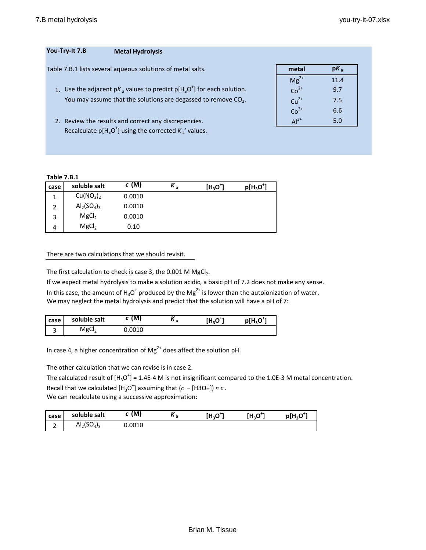| You-Try-It 7.B | <b>Metal Hydrolysis</b>                                     |       |        |
|----------------|-------------------------------------------------------------|-------|--------|
|                | Table 7.B.1 lists several agueous solutions of metal salts. | metal | $pK_a$ |
|                |                                                             |       | $110$  |

- 1. Use the adjacent p $K_a$  values to predict p[H<sub>3</sub>O<sup>+</sup>] for each solution.  $Co^{2+}$  0.7 You may assume that the solutions are degassed to remove  $CO<sub>2</sub>$ .
- 2. Review the results and correct any discrepencies. Recalculate  $p[H_3O^+]$  using the corrected  $K_a'$  values.

| metal     | pK,  |
|-----------|------|
| $Mg^{2+}$ | 11.4 |
| $Co2+$    | 9.7  |
| $Cu2+$    | 7.5  |
| $Co3+$    | 6.6  |
| $Al3+$    | 5.0  |
|           |      |

## **Table 7.B.1**

| case | soluble salt                      | c(M)   | $K_a$ | $[H_3O^{\dagger}]$ | $p[H_3O^+]$ |
|------|-----------------------------------|--------|-------|--------------------|-------------|
| 1    | Cu(NO <sub>3</sub> ) <sub>2</sub> | 0.0010 |       |                    |             |
| 2    | $Al_2(SO_4)_3$                    | 0.0010 |       |                    |             |
| 3    | MgCl <sub>2</sub>                 | 0.0010 |       |                    |             |
| 4    | MgCl <sub>2</sub>                 | 0.10   |       |                    |             |

## There are two calculations that we should revisit.

The first calculation to check is case 3, the 0.001 M  $MgCl<sub>2</sub>$ .

If we expect metal hydrolysis to make a solution acidic, a basic pH of 7.2 does not make any sense. In this case, the amount of  $H_3O^+$  produced by the Mg<sup>2+</sup> is lower than the autoionization of water. We may neglect the metal hydrolysis and predict that the solution will have a pH of 7:

| case ' | soluble salt      | M      | v<br>^ a | $[\mathsf{H}_3\mathsf{O}^{\scriptscriptstyle{\mathsf{T}}}]$ | p[H <sub>3</sub> O <sup>*</sup> |
|--------|-------------------|--------|----------|-------------------------------------------------------------|---------------------------------|
| ں      | MgCl <sub>2</sub> | 0.0010 |          |                                                             |                                 |

In case 4, a higher concentration of Mg<sup>2+</sup> does affect the solution pH.

The other calculation that we can revise is in case 2.

The calculated result of  $[H_3O^+]$  = 1.4E-4 M is not insignificant compared to the 1.0E-3 M metal concentration. Recall that we calculated  $[H_3O^+]$  assuming that  $(c - [H3O+]) \approx c$ . We can recalculate using a successive approximation:

| case   | soluble salt   | (M.    | v<br>… | [H <sub>3</sub> O <sup>**</sup> | [H,O <sup>+</sup> ] | $p[H_3O^+]$ |
|--------|----------------|--------|--------|---------------------------------|---------------------|-------------|
| -<br>- | $Al_2(SO_4)_3$ | 0.0010 |        |                                 |                     |             |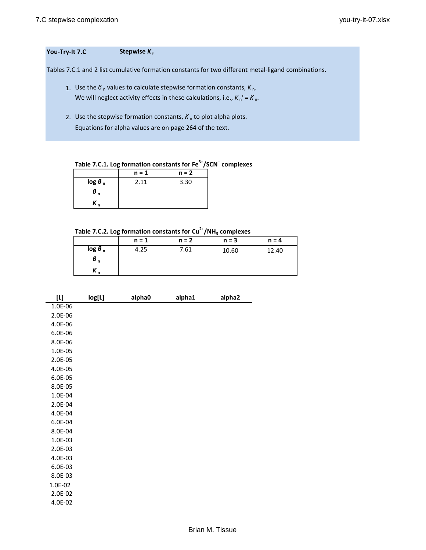## **You-Try-It 7.C Stepwise** *K* **<sup>f</sup>**

Tables 7.C.1 and 2 list cumulative formation constants for two different metal-ligand combinations.

- 1. Use the *β*<sub>n</sub> values to calculate stepwise formation constants, *K*<sub>n</sub>. We will neglect activity effects in these calculations, i.e.,  $K_n' = K_n$ .
- 2. Use the stepwise formation constants,  $K_n$  to plot alpha plots. Equations for alpha values are on page 264 of the text.

**Table 7.C.1. Log formation constants for Fe3+/SCN<sup>−</sup> complexes**

|                    | $n = 1$ | $n = 2$ |
|--------------------|---------|---------|
| log 6 <sub>n</sub> | 2.11    | 3.30    |
| б,                 |         |         |
|                    |         |         |

# Table 7.C.2. Log formation constants for Cu<sup>2+</sup>/NH<sub>3</sub> complexes

|                       | $n = 1$ | $n = 2$ | $n = 3$ | $n = 4$ |
|-----------------------|---------|---------|---------|---------|
| $\log 6$ <sub>n</sub> | 4.25    | 7.61    | 10.60   | 12.40   |
| $\sigma_{n}$          |         |         |         |         |
| $n_{n}$               |         |         |         |         |

| $[1]$       | log[L] | alpha0 | alpha1 | alpha2 |
|-------------|--------|--------|--------|--------|
| $1.0E - 06$ |        |        |        |        |
| 2.0E-06     |        |        |        |        |
| 4.0E-06     |        |        |        |        |
| 6.0E-06     |        |        |        |        |
| 8.0E-06     |        |        |        |        |
| 1.0E-05     |        |        |        |        |
| 2.0E-05     |        |        |        |        |
| 4.0E-05     |        |        |        |        |
| 6.0E-05     |        |        |        |        |
| 8.0E-05     |        |        |        |        |
| 1.0E-04     |        |        |        |        |
| 2.0E-04     |        |        |        |        |
| 4.0E-04     |        |        |        |        |
| 6.0E-04     |        |        |        |        |
| 8.0E-04     |        |        |        |        |
| 1.0E-03     |        |        |        |        |
| 2.0E-03     |        |        |        |        |
| 4.0E-03     |        |        |        |        |
| 6.0E-03     |        |        |        |        |
| 8.0E-03     |        |        |        |        |
| 1.0E-02     |        |        |        |        |
| 2.0E-02     |        |        |        |        |
| 4.0E-02     |        |        |        |        |
|             |        |        |        |        |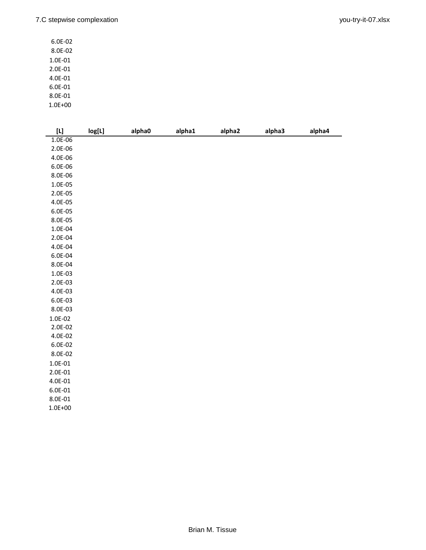6.0E-02 8.0E-02 1.0E-01 2.0E-01 4.0E-01 6.0E-01 8.0E-01

| 1.0E+00 |  |
|---------|--|
|         |  |

|             | log[L] | alpha0 | alpha1 | alpha2 | alpha3 | alpha4 |
|-------------|--------|--------|--------|--------|--------|--------|
| $1.0E - 06$ |        |        |        |        |        |        |
| 2.0E-06     |        |        |        |        |        |        |
| 4.0E-06     |        |        |        |        |        |        |
| 6.0E-06     |        |        |        |        |        |        |
| 8.0E-06     |        |        |        |        |        |        |
| 1.0E-05     |        |        |        |        |        |        |
| 2.0E-05     |        |        |        |        |        |        |
| 4.0E-05     |        |        |        |        |        |        |
| 6.0E-05     |        |        |        |        |        |        |
| 8.0E-05     |        |        |        |        |        |        |
| $1.0E-04$   |        |        |        |        |        |        |
| 2.0E-04     |        |        |        |        |        |        |
| 4.0E-04     |        |        |        |        |        |        |
| 6.0E-04     |        |        |        |        |        |        |
| 8.0E-04     |        |        |        |        |        |        |
| 1.0E-03     |        |        |        |        |        |        |
| 2.0E-03     |        |        |        |        |        |        |
| 4.0E-03     |        |        |        |        |        |        |
| 6.0E-03     |        |        |        |        |        |        |
| 8.0E-03     |        |        |        |        |        |        |
| $1.0E-02$   |        |        |        |        |        |        |
| 2.0E-02     |        |        |        |        |        |        |
| 4.0E-02     |        |        |        |        |        |        |
| 6.0E-02     |        |        |        |        |        |        |
| $8.0E-02$   |        |        |        |        |        |        |
| $1.0E-01$   |        |        |        |        |        |        |
| $2.0E-01$   |        |        |        |        |        |        |
| 4.0E-01     |        |        |        |        |        |        |
| $6.0E-01$   |        |        |        |        |        |        |
| $8.0E - 01$ |        |        |        |        |        |        |
| $1.0E + 00$ |        |        |        |        |        |        |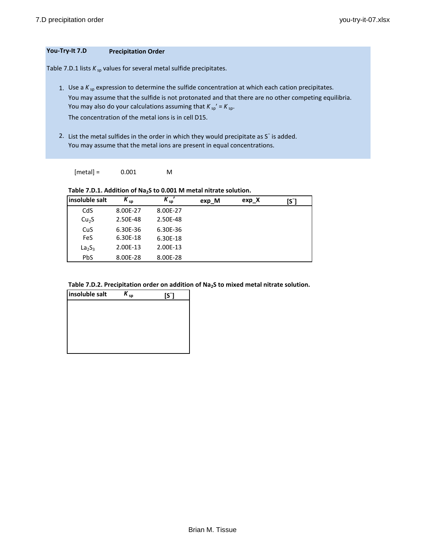## **You-Try-It 7.D Precipitation Order**

Table 7.D.1 lists  $K_{sp}$  values for several metal sulfide precipitates.

1. Use a  $K_{sp}$  expression to determine the sulfide concentration at which each cation precipitates. You may assume that the sulfide is not protonated and that there are no other competing equilibria. You may also do your calculations assuming that  $K_{sp}$ ' =  $K_{sp}$ . The concentration of the metal ions is in cell D15.

2. List the metal sulfides in the order in which they would precipitate as S<sup>−</sup> is added. You may assume that the metal ions are present in equal concentrations.

 $[metal] = 0.001$  M

Table 7.D.1. Addition of Na<sub>2</sub>S to 0.001 M metal nitrate solution.

| insoluble salt                 | $K_{sp}$ | $K_{sp}$ | exp_M | exp X | [S¯] |
|--------------------------------|----------|----------|-------|-------|------|
| CdS                            | 8.00E-27 | 8.00E-27 |       |       |      |
| Cu <sub>2</sub> S              | 2.50E-48 | 2.50E-48 |       |       |      |
| CuS                            | 6.30E-36 | 6.30E-36 |       |       |      |
| <b>FeS</b>                     | 6.30E-18 | 6.30E-18 |       |       |      |
| La <sub>2</sub> S <sub>3</sub> | 2.00E-13 | 2.00E-13 |       |       |      |
| <b>PbS</b>                     | 8.00E-28 | 8.00E-28 |       |       |      |

| Table 7.D.2. Precipitation order on addition of $\text{Na}_2\text{S}$ to mixed metal nitrate solution. |
|--------------------------------------------------------------------------------------------------------|
|                                                                                                        |

| insoluble salt | Κ.<br>sp | IS <sup>-</sup> |
|----------------|----------|-----------------|
|                |          |                 |
|                |          |                 |
|                |          |                 |
|                |          |                 |
|                |          |                 |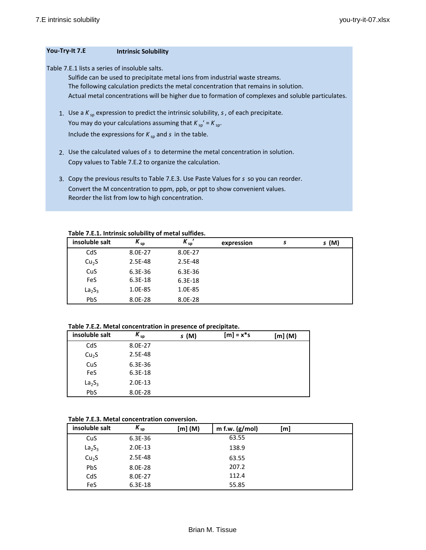#### **You-Try-It 7.E Intrinsic Solubility**

Table 7.E.1 lists a series of insoluble salts.

Sulfide can be used to precipitate metal ions from industrial waste streams. The following calculation predicts the metal concentration that remains in solution. Actual metal concentrations will be higher due to formation of complexes and soluble particulates.

- 1. Use a  $K_{sp}$  expression to predict the intrinsic solubility,  $s$ , of each precipitate. You may do your calculations assuming that  $K_{sp'} = K_{sp}$ . Include the expressions for  $K_{sp}$  and  $s$  in the table.
- 2. Use the calculated values of *s* to determine the metal concentration in solution. Copy values to Table 7.E.2 to organize the calculation.
- 3. Copy the previous results to Table 7.E.3. Use Paste Values for *s* so you can reorder. Convert the M concentration to ppm, ppb, or ppt to show convenient values. Reorder the list from low to high concentration.

**Table 7.E.1. Intrinsic solubility of metal sulfides.**

| insoluble salt                 | $K_{sp}$    | $K_{sp}$    | expression | s | s (M) |
|--------------------------------|-------------|-------------|------------|---|-------|
| CdS                            | 8.0E-27     | 8.0E-27     |            |   |       |
| Cu <sub>2</sub> S              | 2.5E-48     | 2.5E-48     |            |   |       |
| CuS                            | $6.3E - 36$ | $6.3E - 36$ |            |   |       |
| <b>FeS</b>                     | $6.3E-18$   | 6.3E-18     |            |   |       |
| La <sub>2</sub> S <sub>3</sub> | 1.0E-85     | 1.0E-85     |            |   |       |
| <b>PbS</b>                     | 8.0E-28     | 8.0E-28     |            |   |       |

#### **Table 7.E.2. Metal concentration in presence of precipitate.**

| insoluble salt                 | $K_{sp}$ | s(M) | $[m] = x*s$ | [m] (M) |
|--------------------------------|----------|------|-------------|---------|
| CdS                            | 8.0E-27  |      |             |         |
| Cu <sub>2</sub> S              | 2.5E-48  |      |             |         |
| CuS                            | 6.3E-36  |      |             |         |
| FeS                            | 6.3E-18  |      |             |         |
| La <sub>2</sub> S <sub>3</sub> | 2.0E-13  |      |             |         |
| PbS                            | 8.0E-28  |      |             |         |

#### **Table 7.E.3. Metal concentration conversion.**

| insoluble salt                 | $K_{sp}$    | [m] (M) | m f.w. $(g/mol)$ | [m] |  |
|--------------------------------|-------------|---------|------------------|-----|--|
| CuS                            | $6.3E - 36$ |         | 63.55            |     |  |
| La <sub>2</sub> S <sub>3</sub> | 2.0E-13     |         | 138.9            |     |  |
| Cu <sub>2</sub> S              | 2.5E-48     |         | 63.55            |     |  |
| <b>PbS</b>                     | 8.0E-28     |         | 207.2            |     |  |
| CdS                            | 8.0E-27     |         | 112.4            |     |  |
| FeS                            | $6.3E-18$   |         | 55.85            |     |  |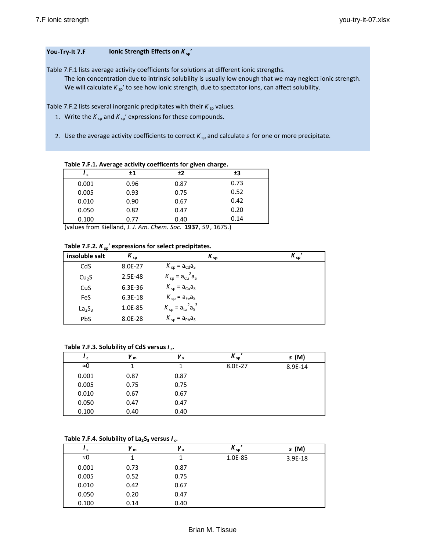### **You-Try-It 7.F Ionic Strength Effects on**  $K_{sp}$ **<sup>***'***</sup>**

Table 7.F.1 lists average activity coefficients for solutions at different ionic strengths. The ion concentration due to intrinsic solubility is usually low enough that we may neglect ionic strength. We will calculate  $K_{sp}$ ' to see how ionic strength, due to spectator ions, can affect solubility.

Table 7.F.2 lists several inorganic precipitates with their  $K_{sp}$  values.

- 1. Write the  $K_{sp}$  and  $K_{sp}'$  expressions for these compounds.
- 2. Use the average activity coefficients to correct  $K_{sp}$  and calculate  $s$  for one or more precipitate.

**Table 7.F.1. Average activity coefficents for given charge.**

| ′с    | $\pm 1$ | ±2   | ±3   |
|-------|---------|------|------|
| 0.001 | 0.96    | 0.87 | 0.73 |
| 0.005 | 0.93    | 0.75 | 0.52 |
| 0.010 | 0.90    | 0.67 | 0.42 |
| 0.050 | 0.82    | 0.47 | 0.20 |
| 0.100 | 0.77    | 0.40 | 0.14 |

(values from Kielland, J. *J. Am. Chem. Soc.* **1937**, *59* , 1675.)

| insoluble salt                 | $K_{sp}$ | $K_{sp}$                  | $K_{sp}$ |
|--------------------------------|----------|---------------------------|----------|
| CdS                            | 8.0E-27  | $K_{sp} = a_{Cd}a_s$      |          |
| Cu <sub>2</sub> S              | 2.5E-48  | $K_{sp} = a_{Cu}^2 a_s$   |          |
| CuS                            | 6.3E-36  | $K_{sp} = a_{Cu}a_{s}$    |          |
| FeS                            | 6.3E-18  | $K_{sp} = a_{Fe}a_{S}$    |          |
| La <sub>2</sub> S <sub>3</sub> | 1.0E-85  | $K_{sp} = a_{La}^2 a_s^3$ |          |
| <b>PbS</b>                     | 8.0E-28  | $K_{sp} = a_{pb}a_s$      |          |

### **Table 7.F.3. Solubility of CdS versus** *I* **c.**

| $^{\prime}$ c | Y <sub>m</sub> | Y x  | $K_{sp}$ | s(M)    |
|---------------|----------------|------|----------|---------|
| ≈0            |                |      | 8.0E-27  | 8.9E-14 |
| 0.001         | 0.87           | 0.87 |          |         |
| 0.005         | 0.75           | 0.75 |          |         |
| 0.010         | 0.67           | 0.67 |          |         |
| 0.050         | 0.47           | 0.47 |          |         |
| 0.100         | 0.40           | 0.40 |          |         |

#### Table 7.F.4. Solubility of  $La_2S_3$  versus  $I_c$ .

| c     | Уm   | γ <sub>x</sub> | $K_{sp}$ | s(M)      |
|-------|------|----------------|----------|-----------|
| ≈0    |      |                | 1.0E-85  | $3.9E-18$ |
| 0.001 | 0.73 | 0.87           |          |           |
| 0.005 | 0.52 | 0.75           |          |           |
| 0.010 | 0.42 | 0.67           |          |           |
| 0.050 | 0.20 | 0.47           |          |           |
| 0.100 | 0.14 | 0.40           |          |           |